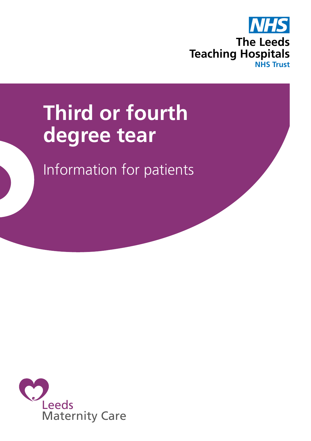

# **Third or fourth degree tear**

Information for patients

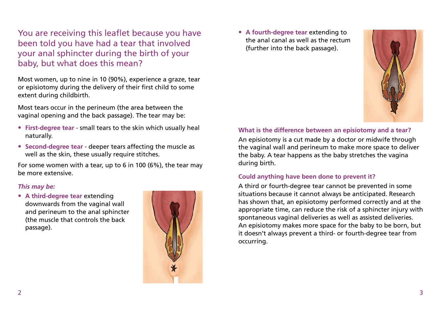You are receiving this leaflet because you have been told you have had a tear that involved your anal sphincter during the birth of your baby, but what does this mean?

Most women, up to nine in 10 (90%), experience a graze, tear or episiotomy during the delivery of their first child to some extent during childbirth.

Most tears occur in the perineum (the area between the vaginal opening and the back passage). The tear may be:

- **First-degree tear** small tears to the skin which usually heal naturally.
- **Second-degree tear** deeper tears affecting the muscle as well as the skin, these usually require stitches.

For some women with a tear, up to 6 in 100 (6%), the tear may be more extensive.

#### *This may be:*

• **A third-degree tear** extending downwards from the vaginal wall and perineum to the anal sphincter (the muscle that controls the back passage).



• **A fourth-degree tear** extending to the anal canal as well as the rectum (further into the back passage).



## **What is the difference between an episiotomy and a tear?**

An episiotomy is a cut made by a doctor or midwife through the vaginal wall and perineum to make more space to deliver the baby. A tear happens as the baby stretches the vagina during birth.

#### **Could anything have been done to prevent it?**

A third or fourth-degree tear cannot be prevented in some situations because it cannot always be anticipated. Research has shown that, an episiotomy performed correctly and at the appropriate time, can reduce the risk of a sphincter injury with spontaneous vaginal deliveries as well as assisted deliveries. An episiotomy makes more space for the baby to be born, but it doesn't always prevent a third- or fourth-degree tear from occurring.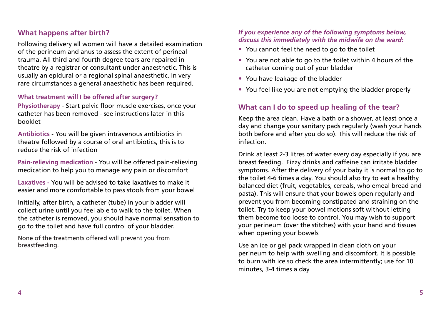## **What happens after birth?**

Following delivery all women will have a detailed examination of the perineum and anus to assess the extent of perineal trauma. All third and fourth degree tears are repaired in theatre by a registrar or consultant under anaesthetic. This is usually an epidural or a regional spinal anaesthetic. In very rare circumstances a general anaesthetic has been required.

#### **What treatment will I be offered after surgery?**

**Physiotherapy** - Start pelvic floor muscle exercises, once your catheter has been removed - see instructions later in this booklet

**Antibiotics** - You will be given intravenous antibiotics in theatre followed by a course of oral antibiotics, this is to reduce the risk of infection

**Pain-relieving medication** - You will be offered pain-relieving medication to help you to manage any pain or discomfort

**Laxatives -** You will be advised to take laxatives to make it easier and more comfortable to pass stools from your bowel

Initially, after birth, a catheter (tube) in your bladder will collect urine until you feel able to walk to the toilet. When the catheter is removed, you should have normal sensation to go to the toilet and have full control of your bladder.

None of the treatments offered will prevent you from breastfeeding.

#### *If you experience any of the following symptoms below, discuss this immediately with the midwife on the ward:*

- You cannot feel the need to go to the toilet
- You are not able to go to the toilet within 4 hours of the catheter coming out of your bladder
- You have leakage of the bladder
- You feel like you are not emptying the bladder properly

## **What can I do to speed up healing of the tear?**

Keep the area clean. Have a bath or a shower, at least once a day and change your sanitary pads regularly (wash your hands both before and after you do so). This will reduce the risk of infection.

Drink at least 2-3 litres of water every day especially if you are breast feeding. Fizzy drinks and caffeine can irritate bladder symptoms. After the delivery of your baby it is normal to go to the toilet 4-6 times a day. You should also try to eat a healthy balanced diet (fruit, vegetables, cereals, wholemeal bread and pasta). This will ensure that your bowels open regularly and prevent you from becoming constipated and straining on the toilet. Try to keep your bowel motions soft without letting them become too loose to control. You may wish to support your perineum (over the stitches) with your hand and tissues when opening your bowels

Use an ice or gel pack wrapped in clean cloth on your perineum to help with swelling and discomfort. It is possible to burn with ice so check the area intermittently; use for 10 minutes, 3-4 times a day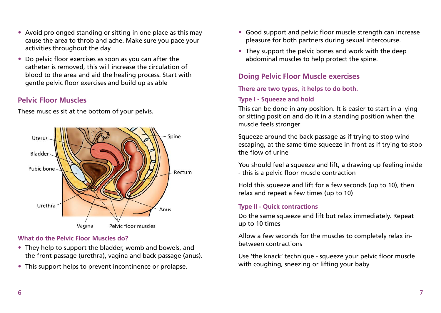- Avoid prolonged standing or sitting in one place as this may cause the area to throb and ache. Make sure you pace your activities throughout the day
- Do pelvic floor exercises as soon as you can after the catheter is removed, this will increase the circulation of blood to the area and aid the healing process. Start with gentle pelvic floor exercises and build up as able

# **Pelvic Floor Muscles**

These muscles sit at the bottom of your pelvis.

- **What do the Pelvic Floor Muscles do?**
- They help to support the bladder, womb and bowels, and the front passage (urethra), vagina and back passage (anus).
- This support helps to prevent incontinence or prolapse.
- Good support and pelvic floor muscle strength can increase pleasure for both partners during sexual intercourse.
- They support the pelvic bones and work with the deep abdominal muscles to help protect the spine.

# **Doing Pelvic Floor Muscle exercises**

**There are two types, it helps to do both.**

## **Type I - Squeeze and hold**

This can be done in any position. It is easier to start in a lying or sitting position and do it in a standing position when the muscle feels stronger

Squeeze around the back passage as if trying to stop wind escaping, at the same time squeeze in front as if trying to stop the flow of urine

You should feel a squeeze and lift, a drawing up feeling inside - this is a pelvic floor muscle contraction

Hold this squeeze and lift for a few seconds (up to 10), then relax and repeat a few times (up to 10)

## **Type II - Quick contractions**

Do the same squeeze and lift but relax immediately. Repeat up to 10 times

Allow a few seconds for the muscles to completely relax inbetween contractions

Use 'the knack' technique - squeeze your pelvic floor muscle with coughing, sneezing or lifting your baby

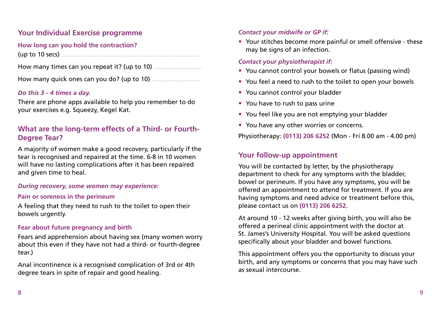# **Your Individual Exercise programme**

## **How long can you hold the contraction?**

(up to 10 secs) ...............................................................................

How many times can you repeat it? (up to 10) ...........................

How many quick ones can you do? (up to 10) ............................

#### *Do this 3 - 4 times a day.*

There are phone apps available to help you remember to do your exercises e.g. Squeezy, Kegel Kat.

# **What are the long-term effects of a Third- or Fourth-Degree Tear?**

A majority of women make a good recovery, particularly if the tear is recognised and repaired at the time. 6-8 in 10 women will have no lasting complications after it has been repaired and given time to heal.

#### *During recovery, some women may experience:*

#### **Pain or soreness in the perineum**

A feeling that they need to rush to the toilet to open their bowels urgently.

#### **Fear about future pregnancy and birth**

Fears and apprehension about having sex (many women worry about this even if they have not had a third- or fourth-degree tear.)

Anal incontinence is a recognised complication of 3rd or 4th degree tears in spite of repair and good healing.

#### *Contact your midwife or GP if:*

• Your stitches become more painful or smell offensive - these may be signs of an infection.

#### *Contact your physiotherapist if:*

- You cannot control your bowels or flatus (passing wind)
- You feel a need to rush to the toilet to open your bowels
- You cannot control your bladder
- You have to rush to pass urine
- You feel like you are not emptying your bladder
- You have any other worries or concerns.

Physiotherapy: **(0113) 206 6252** (Mon - Fri 8.00 am - 4.00 pm)

## **Your follow-up appointment**

You will be contacted by letter, by the physiotherapy department to check for any symptoms with the bladder, bowel or perineum. If you have any symptoms, you will be offered an appointment to attend for treatment. If you are having symptoms and need advice or treatment before this, please contact us on **(0113) 206 6252.**

At around 10 - 12 weeks after giving birth, you will also be offered a perineal clinic appointment with the doctor at St. James's University Hospital. You will be asked questions specifically about your bladder and bowel functions.

This appointment offers you the opportunity to discuss your birth, and any symptoms or concerns that you may have such as sexual intercourse.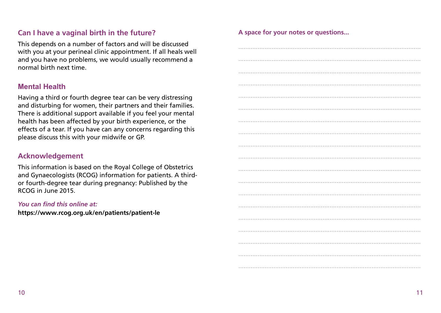# Can I have a vaginal birth in the future?

This depends on a number of factors and will be discussed with you at your perineal clinic appointment. If all heals well and you have no problems, we would usually recommend a normal birth next time.

## **Mental Health**

Having a third or fourth degree tear can be very distressing and disturbing for women, their partners and their families. There is additional support available if you feel your mental health has been affected by your birth experience, or the effects of a tear. If you have can any concerns regarding this please discuss this with your midwife or GP.

## **Acknowledgement**

This information is based on the Royal College of Obstetrics and Gynaecologists (RCOG) information for patients. A thirdor fourth-degree tear during pregnancy: Published by the RCOG in June 2015.

#### You can find this online at:

https://www.rcog.org.uk/en/patients/patient-le

A space for your notes or questions...